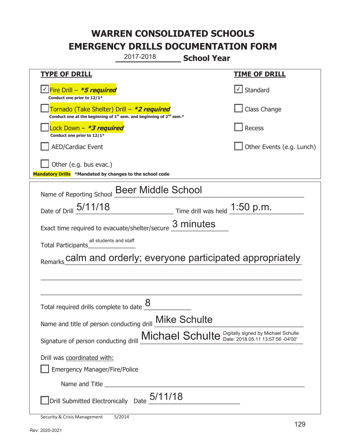**\_\_\_\_\_\_\_\_\_\_\_\_\_ School Year**  2017-2018

|                                                                                                                       | <b>JUIUUI LEGI</b>                            |  |
|-----------------------------------------------------------------------------------------------------------------------|-----------------------------------------------|--|
| <b>TYPE OF DRILL</b>                                                                                                  | <b>TIME OF DRILL</b>                          |  |
| Fire Drill - <b>*5 required</b><br>Conduct one prior to 12/1*                                                         | $\cup$ Standard                               |  |
| Tornado (Take Shelter) Drill – *2 required<br>Conduct one at the beginning of $1st$ sem. and beginning of $2nd$ sem.* | Class Change                                  |  |
| Lock Down - <b>*3 required</b><br>Conduct one prior to 12/1*                                                          | Recess                                        |  |
| <b>AED/Cardiac Event</b>                                                                                              | Other Events (e.g. Lunch)                     |  |
| Other (e.g. bus evac.)                                                                                                |                                               |  |
| Mandatory Drills *Mandated by changes to the school code                                                              |                                               |  |
| Name of Reporting School Beer Middle School                                                                           |                                               |  |
| Date of Drill 5/11/18                                                                                                 | $\frac{1.50 \text{ p.m.}}{2.50 \text{ p.m.}}$ |  |
| Exact time required to evacuate/shelter/secure $\frac{3}{2}$ minutes                                                  |                                               |  |
| all students and staff<br><b>Total Participants</b>                                                                   |                                               |  |
| Remarks calm and orderly; everyone participated appropriately                                                         |                                               |  |
|                                                                                                                       |                                               |  |
|                                                                                                                       |                                               |  |
| Total required drills complete to date                                                                                |                                               |  |
| <b>Mike Schulte</b><br>Name and title of person conducting drill                                                      |                                               |  |
| Michael Schulte Digitally signed by Michael Schulte<br>Signature of person conducting drill                           |                                               |  |
| Drill was coordinated with:                                                                                           |                                               |  |
| <b>Emergency Manager/Fire/Police</b>                                                                                  |                                               |  |
|                                                                                                                       |                                               |  |
| Drill Submitted Electronically Date $_05/11/18$                                                                       |                                               |  |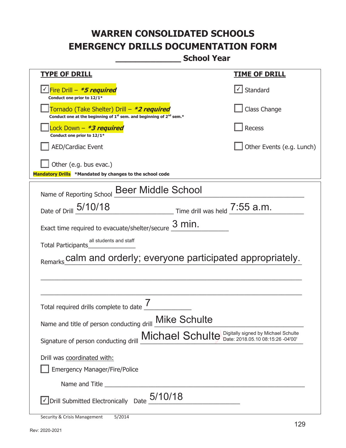**\_\_\_\_\_\_\_\_\_\_\_\_\_ School Year** 

| <u>TYPE OF DRILL</u>                                                                                                                      | <u>TIME OF DRILL</u>      |
|-------------------------------------------------------------------------------------------------------------------------------------------|---------------------------|
| √ Fire Drill – <i>*5 required</i><br>Conduct one prior to 12/1*                                                                           | √ Standard                |
| Tornado (Take Shelter) Drill – *2 required<br>Conduct one at the beginning of 1 <sup>st</sup> sem. and beginning of 2 <sup>nd</sup> sem.* | Class Change              |
| Lock Down - *3 required<br>Conduct one prior to 12/1*                                                                                     | <b>Recess</b>             |
| <b>AED/Cardiac Event</b>                                                                                                                  | Other Events (e.g. Lunch) |
| Other (e.g. bus evac.)<br>Mandatory Drills *Mandated by changes to the school code                                                        |                           |
| Name of Reporting School Beer Middle School                                                                                               |                           |
| Date of Drill 5/10/18<br>$\frac{1}{2}$ Time drill was held $\frac{7:55 \text{ a.m.}}{2}$                                                  |                           |
| $3$ min.<br>Exact time required to evacuate/shelter/secure                                                                                |                           |
| all students and staff<br>Total Participants                                                                                              |                           |
| calm and orderly; everyone participated appropriately.                                                                                    |                           |
|                                                                                                                                           |                           |
| Total required drills complete to date                                                                                                    |                           |
| Name and title of person conducting drill <b>Mike Schulte</b>                                                                             |                           |
| Michael Schulte Digitally signed by Michael Schulte<br>Signature of person conducting drill                                               |                           |
| Drill was coordinated with:                                                                                                               |                           |
| <b>Emergency Manager/Fire/Police</b>                                                                                                      |                           |
|                                                                                                                                           |                           |
| Drill Submitted Electronically Date $_05/10/18$                                                                                           |                           |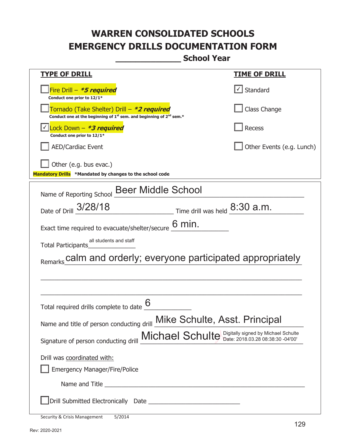**\_\_\_\_\_\_\_\_\_\_\_\_\_ School Year** 

| <b>TYPE OF DRILL</b>                                                                                                                      | <u>TIME OF DRILL</u>      |
|-------------------------------------------------------------------------------------------------------------------------------------------|---------------------------|
| Fire Drill - *5 required<br>Conduct one prior to 12/1*                                                                                    | $\cup$ Standard           |
| Tornado (Take Shelter) Drill – *2 required<br>Conduct one at the beginning of 1 <sup>st</sup> sem. and beginning of 2 <sup>nd</sup> sem.* | Class Change              |
| Lock Down - *3 required<br>Conduct one prior to 12/1*                                                                                     | Recess                    |
| <b>AED/Cardiac Event</b>                                                                                                                  | Other Events (e.g. Lunch) |
| Other (e.g. bus evac.)<br>Mandatory Drills *Mandated by changes to the school code                                                        |                           |
| Name of Reporting School Beer Middle School                                                                                               |                           |
| Date of Drill 3/28/18<br>$\frac{8:30}{2}$ Time drill was held $\frac{8:30}{2}$ a.m.                                                       |                           |
| 6 min.<br>Exact time required to evacuate/shelter/secure                                                                                  |                           |
| all students and staff<br>Total Participants                                                                                              |                           |
| calm and orderly; everyone participated appropriately                                                                                     |                           |
|                                                                                                                                           |                           |
|                                                                                                                                           |                           |
| Total required drills complete to date                                                                                                    |                           |
| Name and title of person conducting drill Mike Schulte, Asst. Principal                                                                   |                           |
| Signature of person conducting drill Michael Schulte Digitally signed by Michael Schulte                                                  |                           |
| Drill was coordinated with:                                                                                                               |                           |
| <b>Emergency Manager/Fire/Police</b>                                                                                                      |                           |
|                                                                                                                                           |                           |
|                                                                                                                                           |                           |

| Security & Crisis Management |  | 5/2014 |
|------------------------------|--|--------|
|------------------------------|--|--------|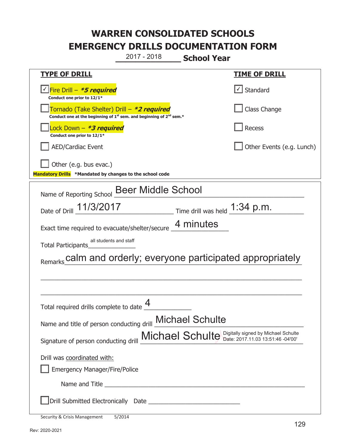**\_\_\_\_\_\_\_\_\_\_\_\_\_ School Year**  2017 - 2018

| <b>TYPE OF DRILL</b>                                                                                                                      | <u>TIME OF DRILL</u>              |  |
|-------------------------------------------------------------------------------------------------------------------------------------------|-----------------------------------|--|
| Fire Drill - *5 required<br>Conduct one prior to 12/1*                                                                                    | $\lfloor \angle \rfloor$ Standard |  |
| Tornado (Take Shelter) Drill – *2 required<br>Conduct one at the beginning of 1 <sup>st</sup> sem. and beginning of 2 <sup>nd</sup> sem.* | Class Change                      |  |
| Lock Down - *3 required<br>Conduct one prior to 12/1*                                                                                     | Recess                            |  |
| <b>AED/Cardiac Event</b>                                                                                                                  | Other Events (e.g. Lunch)         |  |
| Other (e.g. bus evac.)                                                                                                                    |                                   |  |
| Mandatory Drills *Mandated by changes to the school code                                                                                  |                                   |  |
| Name of Reporting School Beer Middle School                                                                                               |                                   |  |
| 11/3/2017<br>Date of Drill                                                                                                                | Time drill was held $1:34$ p.m.   |  |
| Exact time required to evacuate/shelter/secure 4 minutes                                                                                  |                                   |  |
| all students and staff<br><b>Total Participants</b>                                                                                       |                                   |  |
| Remarks calm and orderly; everyone participated appropriately                                                                             |                                   |  |
|                                                                                                                                           |                                   |  |
|                                                                                                                                           |                                   |  |
| Total required drills complete to date                                                                                                    |                                   |  |
| Name and title of person conducting drill Michael Schulte                                                                                 |                                   |  |
| Signature of person conducting drill Michael Schulte Digitally signed by Michael Schulte                                                  |                                   |  |
| Drill was coordinated with:                                                                                                               |                                   |  |
| <b>Emergency Manager/Fire/Police</b>                                                                                                      |                                   |  |
|                                                                                                                                           |                                   |  |
|                                                                                                                                           |                                   |  |

|  | Security & Crisis Management | 5/2014 |
|--|------------------------------|--------|
|--|------------------------------|--------|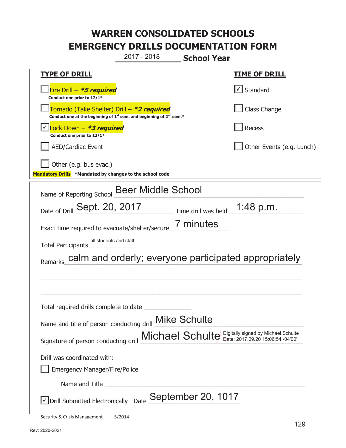**\_\_\_\_\_\_\_\_\_\_\_\_\_ School Year**  2017 - 2018

| <b>TYPE OF DRILL</b>                                                                                                        | <b>TIME OF DRILL</b>                                     |  |
|-----------------------------------------------------------------------------------------------------------------------------|----------------------------------------------------------|--|
| Fire Drill - *5 required<br>Conduct one prior to 12/1*                                                                      | √ Standard                                               |  |
| Tornado (Take Shelter) Drill – *2 required<br>Conduct one at the beginning of $1^{st}$ sem. and beginning of $2^{nd}$ sem.* | Class Change                                             |  |
| √ <mark>Lock Down – <i>*<b>3 required</b></i></mark><br>Conduct one prior to 12/1*                                          | Recess                                                   |  |
| <b>AED/Cardiac Event</b>                                                                                                    | Other Events (e.g. Lunch)                                |  |
| Other (e.g. bus evac.)                                                                                                      |                                                          |  |
| Mandatory Drills *Mandated by changes to the school code                                                                    |                                                          |  |
| Name of Reporting School Beer Middle School                                                                                 |                                                          |  |
| Date of Drill Sept. 20, 2017                                                                                                | $\frac{1}{2}$ Time drill was held $\frac{1}{2}$ :48 p.m. |  |
| Exact time required to evacuate/shelter/secure 7 minutes                                                                    |                                                          |  |
| all students and staff<br>Total Participants                                                                                |                                                          |  |
| Remarks_calm and orderly; everyone participated appropriately                                                               |                                                          |  |
|                                                                                                                             |                                                          |  |
|                                                                                                                             |                                                          |  |
| Total required drills complete to date                                                                                      |                                                          |  |
| Name and title of person conducting drill Mike Schulte                                                                      |                                                          |  |
| Signature of person conducting drill Michael Schulte Digitally signed by Michael Schulte                                    |                                                          |  |
| Drill was coordinated with:                                                                                                 |                                                          |  |
| <b>Emergency Manager/Fire/Police</b>                                                                                        |                                                          |  |
|                                                                                                                             |                                                          |  |
| Name and Title                                                                                                              |                                                          |  |
| □ Drill Submitted Electronically Date September 20, 1017                                                                    |                                                          |  |